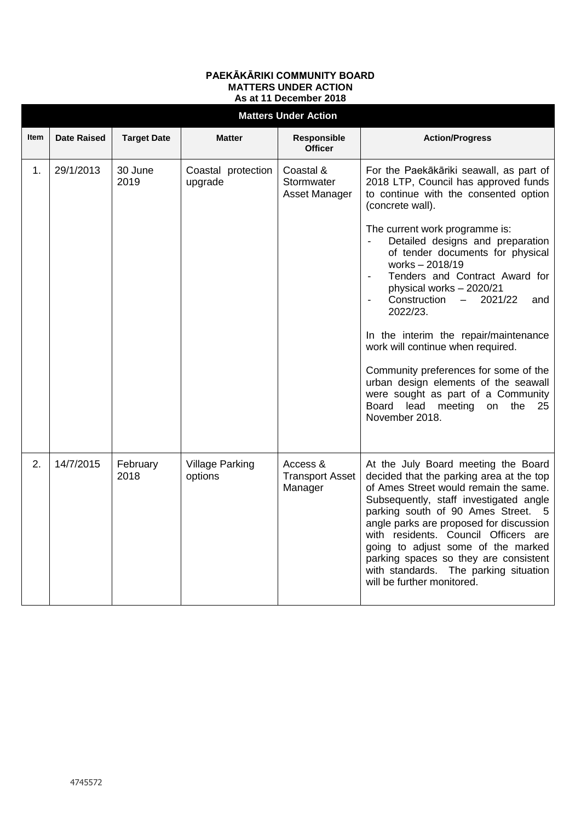## **PAEKĀKĀRIKI COMMUNITY BOARD MATTERS UNDER ACTION As at 11 December 2018**

| <b>Matters Under Action</b> |                    |                    |                                   |                                               |                                                                                                                                                                                                                                                                                                                                                                                                                                                                                                                 |  |  |  |  |
|-----------------------------|--------------------|--------------------|-----------------------------------|-----------------------------------------------|-----------------------------------------------------------------------------------------------------------------------------------------------------------------------------------------------------------------------------------------------------------------------------------------------------------------------------------------------------------------------------------------------------------------------------------------------------------------------------------------------------------------|--|--|--|--|
| <b>Item</b>                 | <b>Date Raised</b> | <b>Target Date</b> | <b>Matter</b>                     | <b>Responsible</b><br><b>Officer</b>          | <b>Action/Progress</b>                                                                                                                                                                                                                                                                                                                                                                                                                                                                                          |  |  |  |  |
| 1.                          | 29/1/2013          | 30 June<br>2019    | Coastal protection<br>upgrade     | Coastal &<br>Stormwater<br>Asset Manager      | For the Paekākāriki seawall, as part of<br>2018 LTP, Council has approved funds<br>to continue with the consented option<br>(concrete wall).                                                                                                                                                                                                                                                                                                                                                                    |  |  |  |  |
|                             |                    |                    |                                   |                                               | The current work programme is:<br>Detailed designs and preparation<br>of tender documents for physical<br>works - 2018/19<br>Tenders and Contract Award for<br>physical works - 2020/21<br>Construction<br>$-2021/22$<br>and<br>2022/23.<br>In the interim the repair/maintenance<br>work will continue when required.<br>Community preferences for some of the<br>urban design elements of the seawall<br>were sought as part of a Community<br>Board<br>lead<br>meeting<br>on<br>the<br>-25<br>November 2018. |  |  |  |  |
| 2.                          | 14/7/2015          | February<br>2018   | <b>Village Parking</b><br>options | Access &<br><b>Transport Asset</b><br>Manager | At the July Board meeting the Board<br>decided that the parking area at the top<br>of Ames Street would remain the same.<br>Subsequently, staff investigated angle<br>parking south of 90 Ames Street. 5<br>angle parks are proposed for discussion<br>with residents. Council Officers are<br>going to adjust some of the marked<br>parking spaces so they are consistent<br>with standards. The parking situation<br>will be further monitored.                                                               |  |  |  |  |